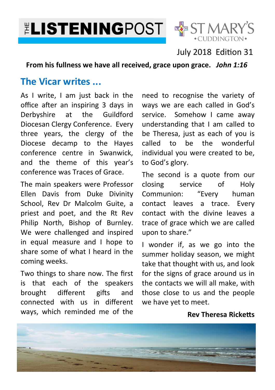**ELISTENINGPOST & ST MARY'S** 



## July 2018 Edition 31

**From his fullness we have all received, grace upon grace.** *John 1:16* 

## **The Vicar writes ...**

As I write, I am just back in the office after an inspiring 3 days in Derbyshire at the Guildford Diocesan Clergy Conference. Every three years, the clergy of the Diocese decamp to the Hayes conference centre in Swanwick, and the theme of this year's conference was Traces of Grace.

The main speakers were Professor Ellen Davis from Duke Divinity School, Rev Dr Malcolm Guite, a priest and poet, and the Rt Rev Philip North, Bishop of Burnley. We were challenged and inspired in equal measure and I hope to share some of what I heard in the coming weeks.

Two things to share now. The first is that each of the speakers brought different gifts and connected with us in different ways, which reminded me of the

need to recognise the variety of ways we are each called in God's service. Somehow I came away understanding that I am called to be Theresa, just as each of you is called to be the wonderful individual you were created to be, to God's glory.

The second is a quote from our closing service of Holy Communion: "Every human contact leaves a trace. Every contact with the divine leaves a trace of grace which we are called upon to share."

I wonder if, as we go into the summer holiday season, we might take that thought with us, and look for the signs of grace around us in the contacts we will all make, with those close to us and the people we have yet to meet.

#### **Rev Theresa Ricketts**

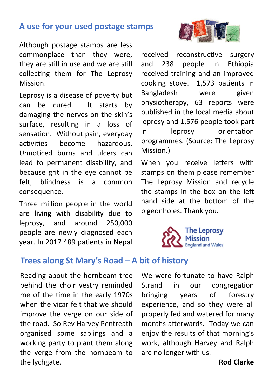## **A use for your used postage stamps**

Although postage stamps are less commonplace than they were, they are still in use and we are still collecting them for The Leprosy Mission.

Leprosy is a disease of poverty but can be cured. It starts by damaging the nerves on the skin's surface, resulting in a loss of sensation. Without pain, everyday activities become hazardous. Unnoticed burns and ulcers can lead to permanent disability, and because grit in the eye cannot be felt, blindness is a common consequence.

Three million people in the world are living with disability due to leprosy, and around 250,000 people are newly diagnosed each year. In 2017 489 patients in Nepal

# received reconstructive surgery

and 238 people in Ethiopia received training and an improved cooking stove. 1,573 patients in Bangladesh were given physiotherapy, 63 reports were published in the local media about leprosy and 1,576 people took part in leprosy orientation programmes. (Source: The Leprosy Mission.)

When you receive letters with stamps on them please remember The Leprosy Mission and recycle the stamps in the box on the left hand side at the bottom of the pigeonholes. Thank you.



## **Trees along St Mary's Road – A bit of history**

Reading about the hornbeam tree behind the choir vestry reminded me of the time in the early 1970s when the vicar felt that we should improve the verge on our side of the road. So Rev Harvey Pentreath organised some saplings and a working party to plant them along the verge from the hornbeam to the lychgate.

We were fortunate to have Ralph Strand in our congregation bringing years of forestry experience, and so they were all properly fed and watered for many months afterwards. Today we can enjoy the results of that morning's work, although Harvey and Ralph are no longer with us.

#### **Rod Clarke**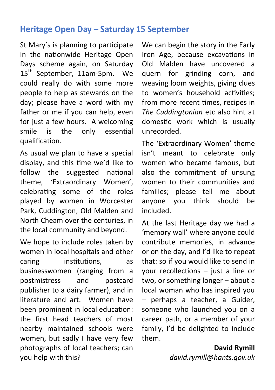## **Heritage Open Day – Saturday 15 September**

St Mary's is planning to participate in the nationwide Heritage Open Days scheme again, on Saturday  $15<sup>th</sup>$  September, 11am-5pm. We could really do with some more people to help as stewards on the day; please have a word with my father or me if you can help, even for just a few hours. A welcoming smile is the only essential qualification.

As usual we plan to have a special display, and this time we'd like to follow the suggested national theme, 'Extraordinary Women', celebrating some of the roles played by women in Worcester Park, Cuddington, Old Malden and North Cheam over the centuries, in the local community and beyond.

We hope to include roles taken by women in local hospitals and other caring institutions, as businesswomen (ranging from a postmistress and postcard publisher to a dairy farmer), and in literature and art. Women have been prominent in local education: the first head teachers of most nearby maintained schools were women, but sadly I have very few photographs of local teachers; can you help with this?

We can begin the story in the Early Iron Age, because excavations in Old Malden have uncovered a quern for grinding corn, and weaving loom weights, giving clues to women's household activities; from more recent times, recipes in *The Cuddingtonian* etc also hint at domestic work which is usually unrecorded.

The 'Extraordinary Women' theme isn't meant to celebrate only women who became famous, but also the commitment of unsung women to their communities and families; please tell me about anyone you think should be included.

At the last Heritage day we had a 'memory wall' where anyone could contribute memories, in advance or on the day, and I'd like to repeat that: so if you would like to send in your recollections  $-$  just a line or two, or something longer – about a local woman who has inspired you – perhaps a teacher, a Guider, someone who launched you on a career path, or a member of your family, I'd be delighted to include them.

> **David Rymill**  *david.rymill@hants.gov.uk*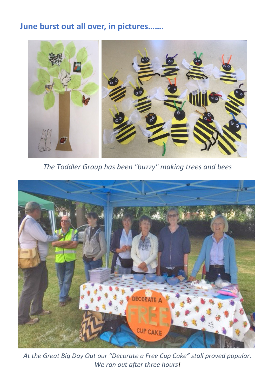## **June burst out all over, in pictures…….**



*The Toddler Group has been "buzzy" making trees and bees*



*At the Great Big Day Out our "Decorate a Free Cup Cake" stall proved popular.*  We ran out after three hours!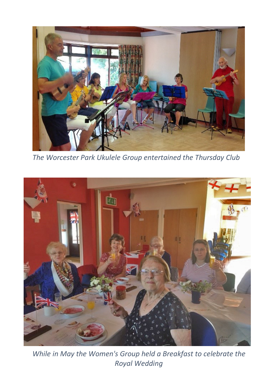

*The Worcester Park Ukulele Group entertained the Thursday Club* 



*While in May the Women's Group held a Breakfast to celebrate the Royal Wedding*